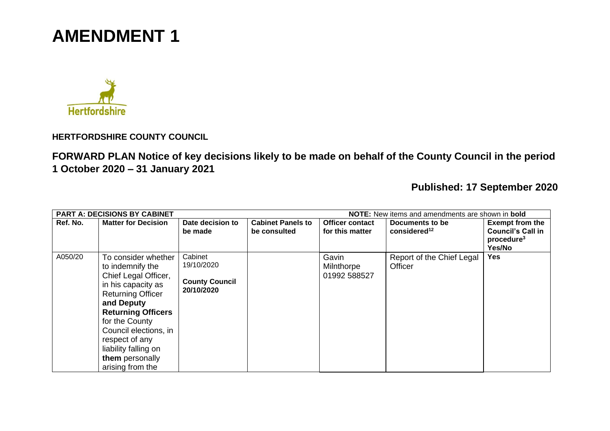



**HERTFORDSHIRE COUNTY COUNCIL**

**FORWARD PLAN Notice of key decisions likely to be made on behalf of the County Council in the period 1 October 2020 – 31 January 2021**

**Published: 17 September 2020**

| NOTE: New items and amendments are shown in bold<br><b>PART A: DECISIONS BY CABINET</b> |                                                                                                                                                                                                                                                                                          |                                                              |                                          |                                           |                                             |                                                                                        |  |  |
|-----------------------------------------------------------------------------------------|------------------------------------------------------------------------------------------------------------------------------------------------------------------------------------------------------------------------------------------------------------------------------------------|--------------------------------------------------------------|------------------------------------------|-------------------------------------------|---------------------------------------------|----------------------------------------------------------------------------------------|--|--|
| Ref. No.                                                                                | <b>Matter for Decision</b>                                                                                                                                                                                                                                                               | Date decision to<br>be made                                  | <b>Cabinet Panels to</b><br>be consulted | <b>Officer contact</b><br>for this matter | Documents to be<br>considered <sup>12</sup> | <b>Exempt from the</b><br><b>Council's Call in</b><br>procedure <sup>3</sup><br>Yes/No |  |  |
| A050/20                                                                                 | To consider whether<br>to indemnify the<br>Chief Legal Officer,<br>in his capacity as<br><b>Returning Officer</b><br>and Deputy<br><b>Returning Officers</b><br>for the County<br>Council elections, in<br>respect of any<br>liability falling on<br>them personally<br>arising from the | Cabinet<br>19/10/2020<br><b>County Council</b><br>20/10/2020 |                                          | Gavin<br>Milnthorpe<br>01992 588527       | Report of the Chief Legal<br>Officer        | <b>Yes</b>                                                                             |  |  |